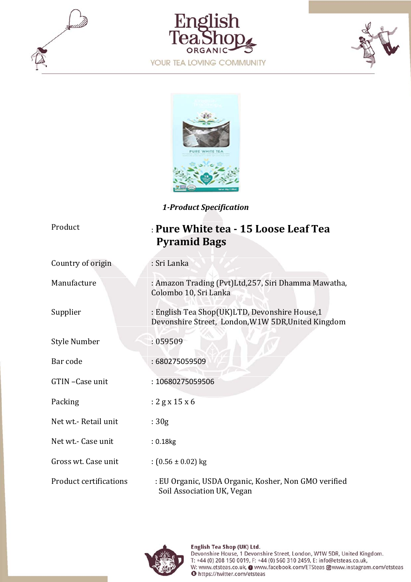







*1‐Product Specification*

| Product                       | : Pure White tea - 15 Loose Leaf Tea<br><b>Pyramid Bags</b>                                         |
|-------------------------------|-----------------------------------------------------------------------------------------------------|
| Country of origin             | : Sri Lanka                                                                                         |
| Manufacture                   | : Amazon Trading (Pvt)Ltd, 257, Siri Dhamma Mawatha,<br>Colombo 10, Sri Lanka                       |
| Supplier                      | : English Tea Shop(UK)LTD, Devonshire House,1<br>Devonshire Street, London, W1W 5DR, United Kingdom |
| Style Number                  | : 059509                                                                                            |
| Bar code                      | : 680275059509                                                                                      |
| GTIN-Case unit                | : 10680275059506                                                                                    |
| Packing                       | $: 2$ g x 15 x 6                                                                                    |
| Net wt.- Retail unit          | :30g                                                                                                |
| Net wt. - Case unit           | : 0.18kg                                                                                            |
| Gross wt. Case unit           | : $(0.56 \pm 0.02)$ kg                                                                              |
| <b>Product certifications</b> | : EU Organic, USDA Organic, Kosher, Non GMO verified<br>Soil Association UK, Vegan                  |

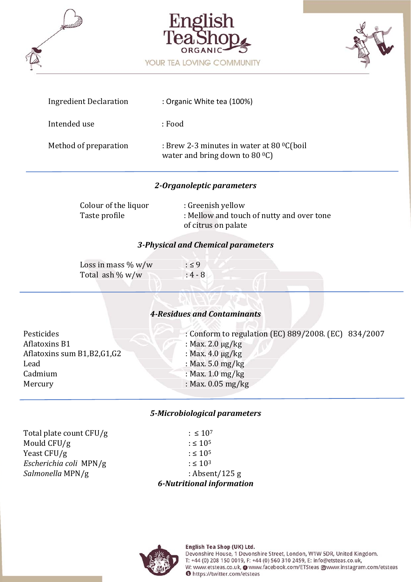





| <b>Ingredient Declaration</b> | : Organic White tea (100%)                                                                |
|-------------------------------|-------------------------------------------------------------------------------------------|
| Intended use                  | : Food                                                                                    |
| Method of preparation         | : Brew 2-3 minutes in water at 80 $^0C$ (boil<br>water and bring down to 80 $^{\circ}$ C) |

## *2‐Organoleptic parameters*

| Colour of the liquor | : Greenish yellow                         |
|----------------------|-------------------------------------------|
| Taste profile        | : Mellow and touch of nutty and over tone |
|                      | of citrus on palate                       |

### *3‐Physical and Chemical parameters*

| Loss in mass $\%$ w/w | : 59      |  |
|-----------------------|-----------|--|
| Total ash $\% w/w$    | $: 4 - 8$ |  |

## *4‐Residues and Contaminants*

| Pesticides                    | : Conform to regulation (EC) 889/2008. (EC) 834/2007 |
|-------------------------------|------------------------------------------------------|
| <b>Aflatoxins B1</b>          | : Max. 2.0 $\mu$ g/kg                                |
| Aflatoxins sum B1, B2, G1, G2 | : Max. $4.0 \mu g/kg$                                |
| Lead                          | : Max. $5.0 \text{ mg/kg}$                           |
| Cadmium                       | : Max. $1.0 \text{ mg/kg}$                           |
| Mercury                       | : Max. $0.05 \text{ mg/kg}$                          |
|                               |                                                      |

### *5‐Microbiological parameters*

Total plate count CFU/g  $: \leq 10^7$ Mould CFU/g  $\qquad \qquad : \leq 10^5$ Yeast CFU/g  $: \leq 10^5$ *Escherichia coli* MPN/g  $: \leq 10^3$ *Salmonella* MPN/g : Absent/125 g

*6‐Nutritional information* 

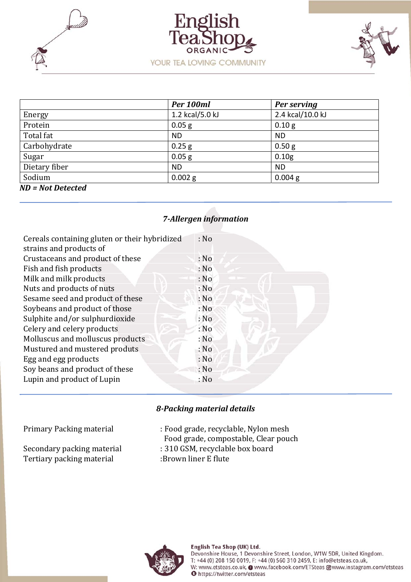





|                     | Per 100ml       | Per serving      |
|---------------------|-----------------|------------------|
| Energy              | 1.2 kcal/5.0 kJ | 2.4 kcal/10.0 kJ |
| Protein             | $0.05$ g        | 0.10 g           |
| Total fat           | <b>ND</b>       | <b>ND</b>        |
| Carbohydrate        | $0.25$ g        | 0.50 g           |
| Sugar               | $0.05$ g        | 0.10g            |
| Dietary fiber       | <b>ND</b>       | <b>ND</b>        |
| Sodium              | $0.002$ g       | $0.004$ g        |
| $ND = Not$ Detected |                 |                  |

# *7‐Allergen information*

| Cereals containing gluten or their hybridized<br>strains and products of | : No |
|--------------------------------------------------------------------------|------|
|                                                                          |      |
| Crustaceans and product of these                                         | : No |
| Fish and fish products                                                   | : No |
| Milk and milk products                                                   | : No |
| Nuts and products of nuts                                                | : No |
| Sesame seed and product of these                                         | : No |
| Soybeans and product of those                                            | : No |
| Sulphite and/or sulphurdioxide                                           | : No |
| Celery and celery products                                               | : No |
| Molluscus and molluscus products                                         | : No |
| Mustured and mustered produts                                            | : No |
| Egg and egg products                                                     | : No |
| Soy beans and product of these                                           | : No |
| Lupin and product of Lupin                                               | : No |

## *8‐Packing material details*

Primary Packing material : Food grade, recyclable, Nylon mesh

Food grade, compostable, Clear pouch

- Secondary packing material : 310 GSM, recyclable box board
- Tertiary packing material :Brown liner E flute



Devonshire House, 1 Devonshire Street, London, W1W 5DR, United Kingdom. T: +44 (0) 208 150 0019, F: +44 (0) 560 310 2459, E: info@etsteas.co.uk, W: www.etsteas.co.uk, @ www.facebook.com/ETSteas @www.instagram.com/etsteas **O** https://twitter.com/etsteas